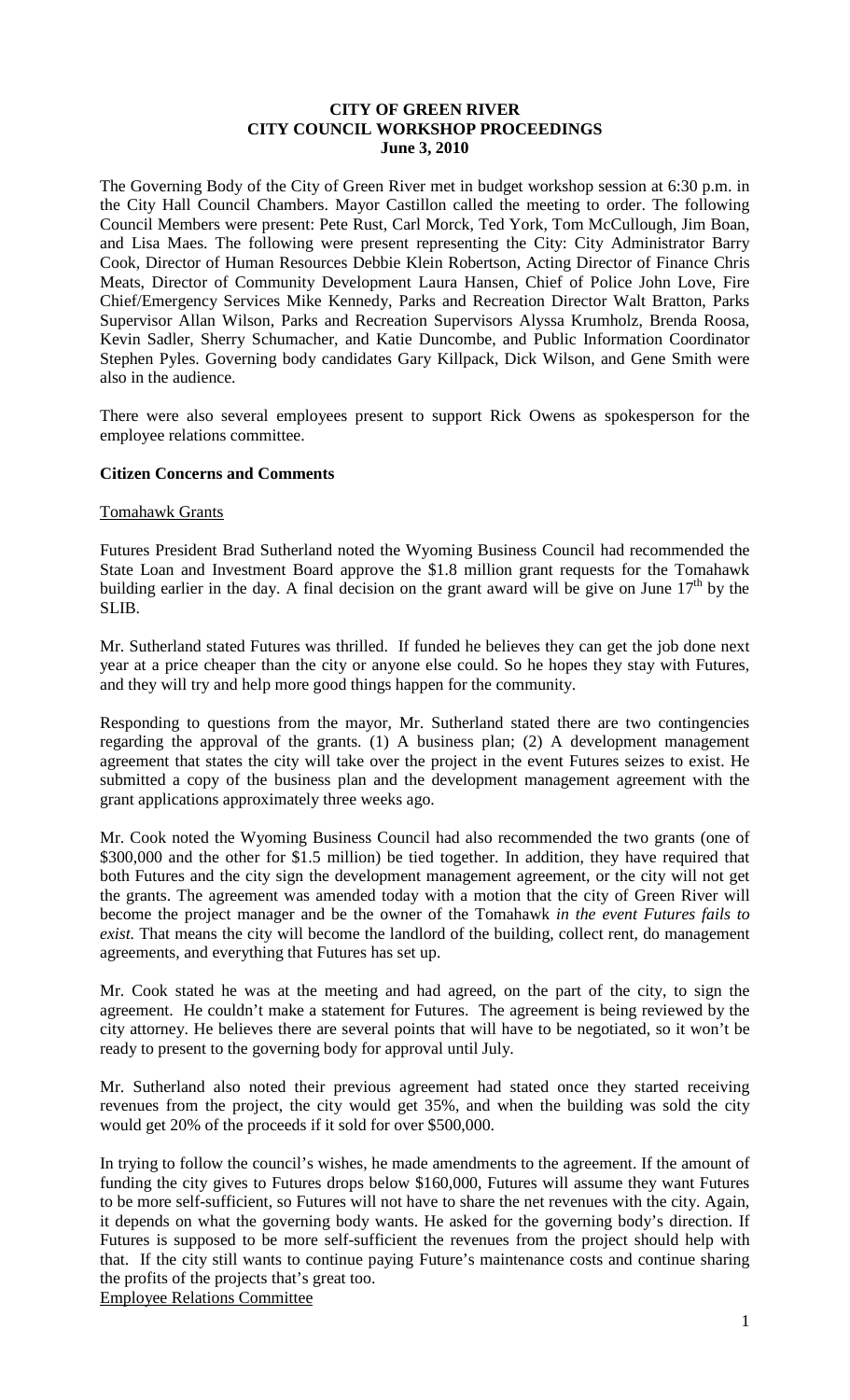### **CITY OF GREEN RIVER CITY COUNCIL WORKSHOP PROCEEDINGS June 3, 2010**

The Governing Body of the City of Green River met in budget workshop session at 6:30 p.m. in the City Hall Council Chambers. Mayor Castillon called the meeting to order. The following Council Members were present: Pete Rust, Carl Morck, Ted York, Tom McCullough, Jim Boan, and Lisa Maes. The following were present representing the City: City Administrator Barry Cook, Director of Human Resources Debbie Klein Robertson, Acting Director of Finance Chris Meats, Director of Community Development Laura Hansen, Chief of Police John Love, Fire Chief/Emergency Services Mike Kennedy, Parks and Recreation Director Walt Bratton, Parks Supervisor Allan Wilson, Parks and Recreation Supervisors Alyssa Krumholz, Brenda Roosa, Kevin Sadler, Sherry Schumacher, and Katie Duncombe, and Public Information Coordinator Stephen Pyles. Governing body candidates Gary Killpack, Dick Wilson, and Gene Smith were also in the audience.

There were also several employees present to support Rick Owens as spokesperson for the employee relations committee.

### **Citizen Concerns and Comments**

### Tomahawk Grants

Futures President Brad Sutherland noted the Wyoming Business Council had recommended the State Loan and Investment Board approve the \$1.8 million grant requests for the Tomahawk building earlier in the day. A final decision on the grant award will be give on June  $17<sup>th</sup>$  by the SLIB.

Mr. Sutherland stated Futures was thrilled. If funded he believes they can get the job done next year at a price cheaper than the city or anyone else could. So he hopes they stay with Futures, and they will try and help more good things happen for the community.

Responding to questions from the mayor, Mr. Sutherland stated there are two contingencies regarding the approval of the grants. (1) A business plan; (2) A development management agreement that states the city will take over the project in the event Futures seizes to exist. He submitted a copy of the business plan and the development management agreement with the grant applications approximately three weeks ago.

Mr. Cook noted the Wyoming Business Council had also recommended the two grants (one of \$300,000 and the other for \$1.5 million) be tied together. In addition, they have required that both Futures and the city sign the development management agreement, or the city will not get the grants. The agreement was amended today with a motion that the city of Green River will become the project manager and be the owner of the Tomahawk *in the event Futures fails to exist*. That means the city will become the landlord of the building, collect rent, do management agreements, and everything that Futures has set up.

Mr. Cook stated he was at the meeting and had agreed, on the part of the city, to sign the agreement. He couldn't make a statement for Futures. The agreement is being reviewed by the city attorney. He believes there are several points that will have to be negotiated, so it won't be ready to present to the governing body for approval until July.

Mr. Sutherland also noted their previous agreement had stated once they started receiving revenues from the project, the city would get 35%, and when the building was sold the city would get 20% of the proceeds if it sold for over \$500,000.

In trying to follow the council's wishes, he made amendments to the agreement. If the amount of funding the city gives to Futures drops below \$160,000, Futures will assume they want Futures to be more self-sufficient, so Futures will not have to share the net revenues with the city. Again, it depends on what the governing body wants. He asked for the governing body's direction. If Futures is supposed to be more self-sufficient the revenues from the project should help with that. If the city still wants to continue paying Future's maintenance costs and continue sharing the profits of the projects that's great too.

Employee Relations Committee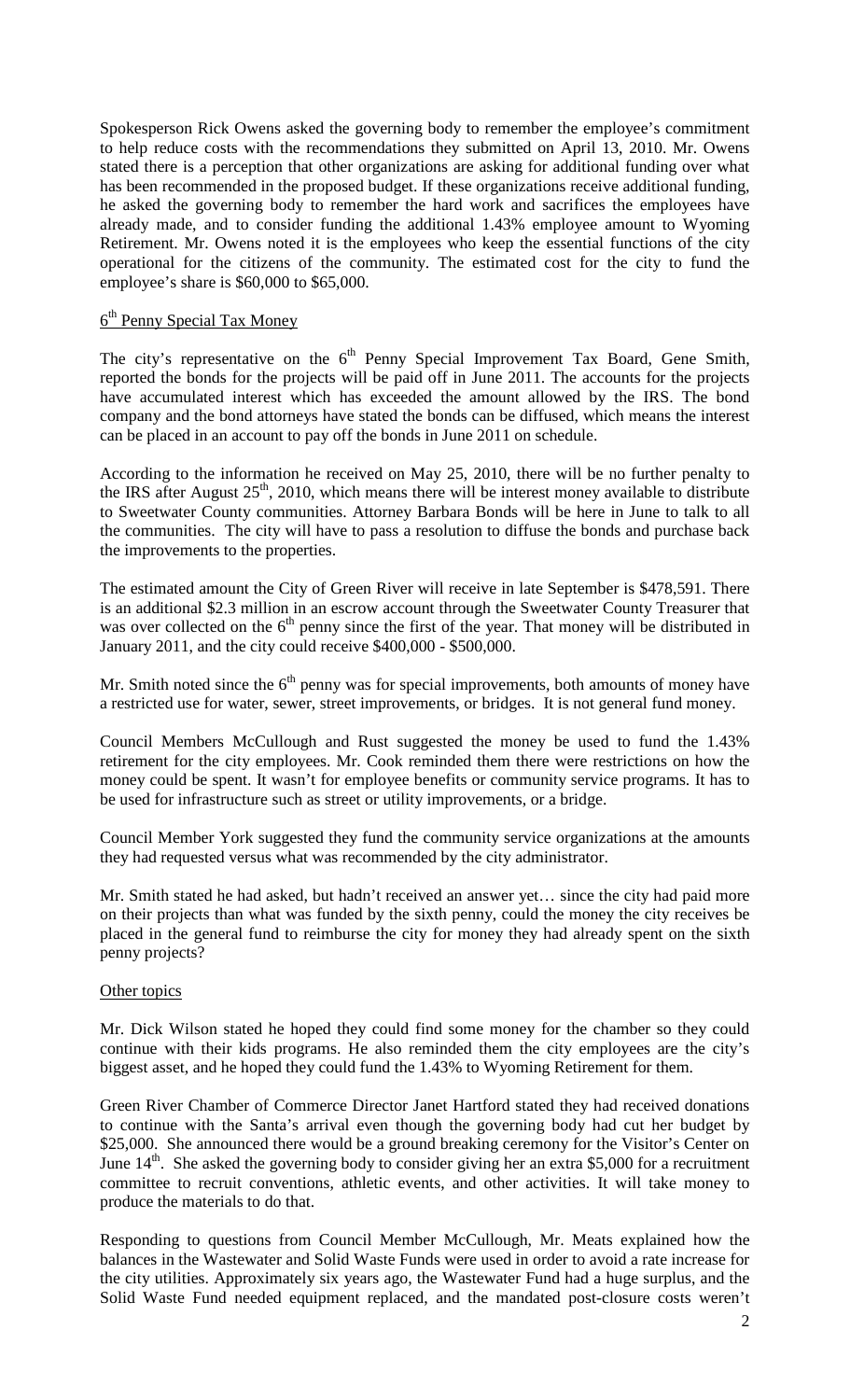Spokesperson Rick Owens asked the governing body to remember the employee's commitment to help reduce costs with the recommendations they submitted on April 13, 2010. Mr. Owens stated there is a perception that other organizations are asking for additional funding over what has been recommended in the proposed budget. If these organizations receive additional funding, he asked the governing body to remember the hard work and sacrifices the employees have already made, and to consider funding the additional 1.43% employee amount to Wyoming Retirement. Mr. Owens noted it is the employees who keep the essential functions of the city operational for the citizens of the community. The estimated cost for the city to fund the employee's share is \$60,000 to \$65,000.

# 6th Penny Special Tax Money

The city's representative on the  $6<sup>th</sup>$  Penny Special Improvement Tax Board, Gene Smith, reported the bonds for the projects will be paid off in June 2011. The accounts for the projects have accumulated interest which has exceeded the amount allowed by the IRS. The bond company and the bond attorneys have stated the bonds can be diffused, which means the interest can be placed in an account to pay off the bonds in June 2011 on schedule.

According to the information he received on May 25, 2010, there will be no further penalty to the IRS after August  $25<sup>th</sup>$ , 2010, which means there will be interest money available to distribute to Sweetwater County communities. Attorney Barbara Bonds will be here in June to talk to all the communities. The city will have to pass a resolution to diffuse the bonds and purchase back the improvements to the properties.

The estimated amount the City of Green River will receive in late September is \$478,591. There is an additional \$2.3 million in an escrow account through the Sweetwater County Treasurer that was over collected on the 6<sup>th</sup> penny since the first of the year. That money will be distributed in January 2011, and the city could receive \$400,000 - \$500,000.

Mr. Smith noted since the  $6<sup>th</sup>$  penny was for special improvements, both amounts of money have a restricted use for water, sewer, street improvements, or bridges. It is not general fund money.

Council Members McCullough and Rust suggested the money be used to fund the 1.43% retirement for the city employees. Mr. Cook reminded them there were restrictions on how the money could be spent. It wasn't for employee benefits or community service programs. It has to be used for infrastructure such as street or utility improvements, or a bridge.

Council Member York suggested they fund the community service organizations at the amounts they had requested versus what was recommended by the city administrator.

Mr. Smith stated he had asked, but hadn't received an answer yet… since the city had paid more on their projects than what was funded by the sixth penny, could the money the city receives be placed in the general fund to reimburse the city for money they had already spent on the sixth penny projects?

### Other topics

Mr. Dick Wilson stated he hoped they could find some money for the chamber so they could continue with their kids programs. He also reminded them the city employees are the city's biggest asset, and he hoped they could fund the 1.43% to Wyoming Retirement for them.

Green River Chamber of Commerce Director Janet Hartford stated they had received donations to continue with the Santa's arrival even though the governing body had cut her budget by \$25,000. She announced there would be a ground breaking ceremony for the Visitor's Center on June  $14<sup>th</sup>$ . She asked the governing body to consider giving her an extra \$5,000 for a recruitment committee to recruit conventions, athletic events, and other activities. It will take money to produce the materials to do that.

Responding to questions from Council Member McCullough, Mr. Meats explained how the balances in the Wastewater and Solid Waste Funds were used in order to avoid a rate increase for the city utilities. Approximately six years ago, the Wastewater Fund had a huge surplus, and the Solid Waste Fund needed equipment replaced, and the mandated post-closure costs weren't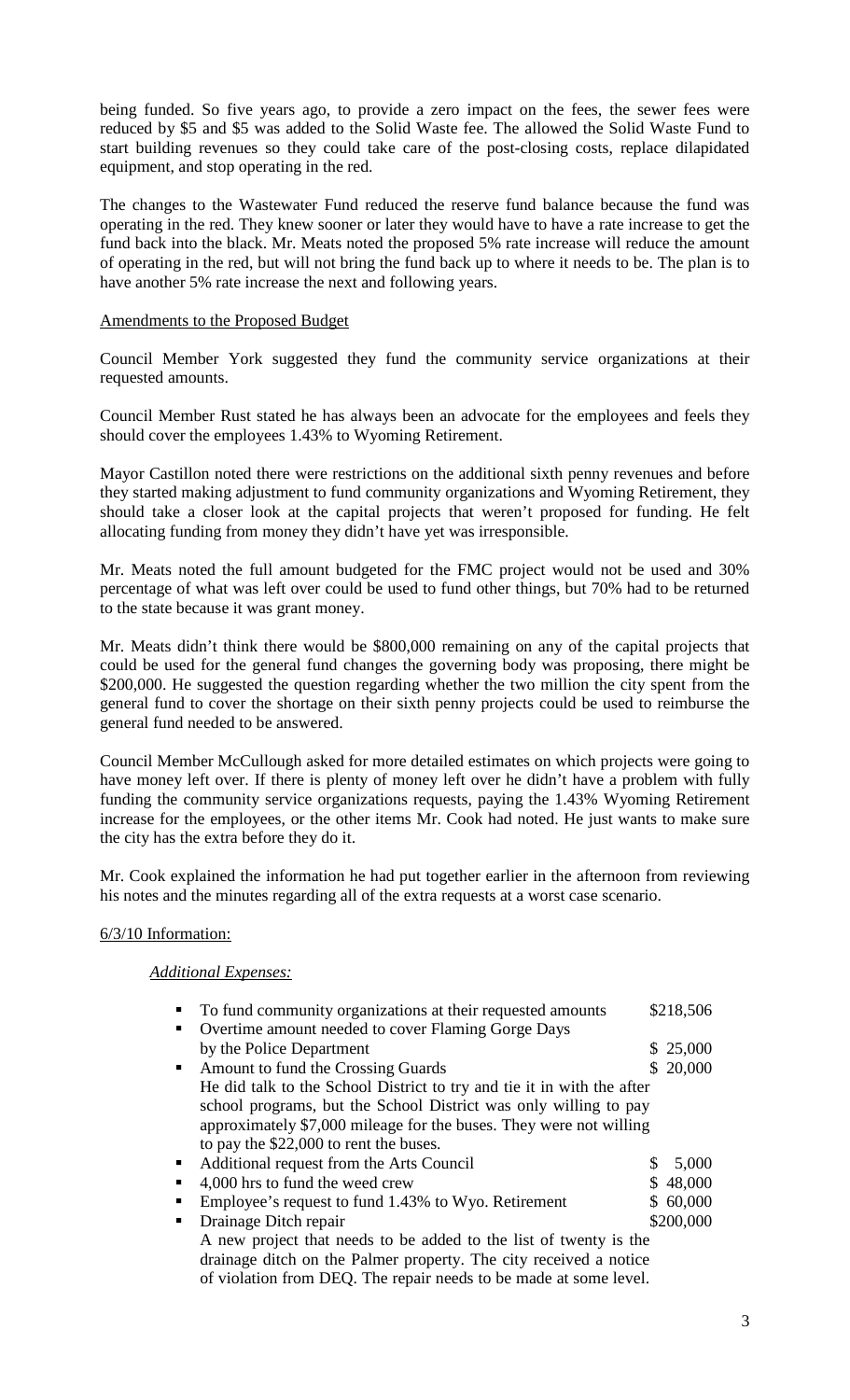being funded. So five years ago, to provide a zero impact on the fees, the sewer fees were reduced by \$5 and \$5 was added to the Solid Waste fee. The allowed the Solid Waste Fund to start building revenues so they could take care of the post-closing costs, replace dilapidated equipment, and stop operating in the red.

The changes to the Wastewater Fund reduced the reserve fund balance because the fund was operating in the red. They knew sooner or later they would have to have a rate increase to get the fund back into the black. Mr. Meats noted the proposed 5% rate increase will reduce the amount of operating in the red, but will not bring the fund back up to where it needs to be. The plan is to have another 5% rate increase the next and following years.

### Amendments to the Proposed Budget

Council Member York suggested they fund the community service organizations at their requested amounts.

Council Member Rust stated he has always been an advocate for the employees and feels they should cover the employees 1.43% to Wyoming Retirement.

Mayor Castillon noted there were restrictions on the additional sixth penny revenues and before they started making adjustment to fund community organizations and Wyoming Retirement, they should take a closer look at the capital projects that weren't proposed for funding. He felt allocating funding from money they didn't have yet was irresponsible.

Mr. Meats noted the full amount budgeted for the FMC project would not be used and 30% percentage of what was left over could be used to fund other things, but 70% had to be returned to the state because it was grant money.

Mr. Meats didn't think there would be \$800,000 remaining on any of the capital projects that could be used for the general fund changes the governing body was proposing, there might be \$200,000. He suggested the question regarding whether the two million the city spent from the general fund to cover the shortage on their sixth penny projects could be used to reimburse the general fund needed to be answered.

Council Member McCullough asked for more detailed estimates on which projects were going to have money left over. If there is plenty of money left over he didn't have a problem with fully funding the community service organizations requests, paying the 1.43% Wyoming Retirement increase for the employees, or the other items Mr. Cook had noted. He just wants to make sure the city has the extra before they do it.

Mr. Cook explained the information he had put together earlier in the afternoon from reviewing his notes and the minutes regarding all of the extra requests at a worst case scenario.

### 6/3/10 Information:

## *Additional Expenses:*

|            | To fund community organizations at their requested amounts             |   | \$218,506 |
|------------|------------------------------------------------------------------------|---|-----------|
|            | Overtime amount needed to cover Flaming Gorge Days                     |   |           |
|            | by the Police Department                                               |   | \$25,000  |
| <b>COL</b> | Amount to fund the Crossing Guards                                     |   | \$20,000  |
|            | He did talk to the School District to try and tie it in with the after |   |           |
|            | school programs, but the School District was only willing to pay       |   |           |
|            | approximately \$7,000 mileage for the buses. They were not willing     |   |           |
|            | to pay the \$22,000 to rent the buses.                                 |   |           |
| п.         | Additional request from the Arts Council                               | S | 5,000     |
| п          | 4,000 hrs to fund the weed crew                                        |   | \$48,000  |
| п          | Employee's request to fund 1.43% to Wyo. Retirement                    |   | \$60,000  |
|            | Drainage Ditch repair                                                  |   | \$200,000 |
|            | A new project that needs to be added to the list of twenty is the      |   |           |
|            | drainage ditch on the Palmer property. The city received a notice      |   |           |
|            | of violation from DEQ. The repair needs to be made at some level.      |   |           |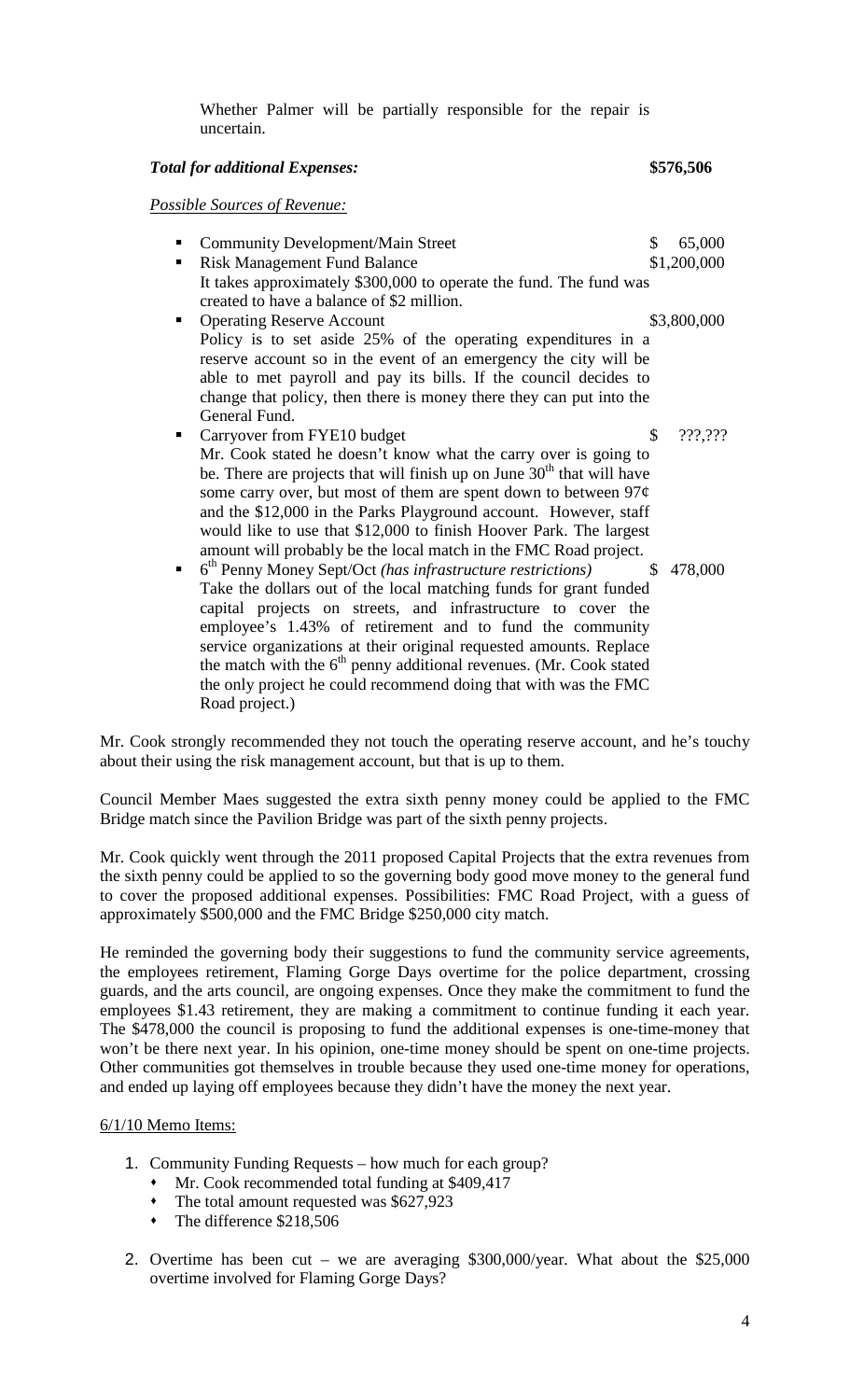Whether Palmer will be partially responsible for the repair is uncertain.

*Total for additional Expenses:* **\$576,506**

*Possible Sources of Revenue:*

- Community Development/Main Street \$ 65,000
	-
- Risk Management Fund Balance \$1,200,000 It takes approximately \$300,000 to operate the fund. The fund was created to have a balance of \$2 million. ■ Operating Reserve Account \$3,800,000 Policy is to set aside 25% of the operating expenditures in a
- reserve account so in the event of an emergency the city will be able to met payroll and pay its bills. If the council decides to change that policy, then there is money there they can put into the General Fund.
- Carryover from FYE10 budget \$ ???,??? Mr. Cook stated he doesn't know what the carry over is going to be. There are projects that will finish up on June  $30<sup>th</sup>$  that will have some carry over, but most of them are spent down to between  $97¢$ and the \$12,000 in the Parks Playground account. However, staff would like to use that \$12,000 to finish Hoover Park. The largest amount will probably be the local match in the FMC Road project.<br>  $6^{\text{th}}$  Penny Money Sept/Oct *(has infrastructure restrictions)* \$ 478,000
- 6<sup>th</sup> Penny Money Sept/Oct *(has infrastructure restrictions)* Take the dollars out of the local matching funds for grant funded capital projects on streets, and infrastructure to cover the employee's 1.43% of retirement and to fund the community service organizations at their original requested amounts. Replace the match with the  $6<sup>th</sup>$  penny additional revenues. (Mr. Cook stated the only project he could recommend doing that with was the FMC Road project.)

Mr. Cook strongly recommended they not touch the operating reserve account, and he's touchy about their using the risk management account, but that is up to them.

Council Member Maes suggested the extra sixth penny money could be applied to the FMC Bridge match since the Pavilion Bridge was part of the sixth penny projects.

Mr. Cook quickly went through the 2011 proposed Capital Projects that the extra revenues from the sixth penny could be applied to so the governing body good move money to the general fund to cover the proposed additional expenses. Possibilities: FMC Road Project, with a guess of approximately \$500,000 and the FMC Bridge \$250,000 city match.

He reminded the governing body their suggestions to fund the community service agreements, the employees retirement, Flaming Gorge Days overtime for the police department, crossing guards, and the arts council, are ongoing expenses. Once they make the commitment to fund the employees \$1.43 retirement, they are making a commitment to continue funding it each year. The \$478,000 the council is proposing to fund the additional expenses is one-time-money that won't be there next year. In his opinion, one-time money should be spent on one-time projects. Other communities got themselves in trouble because they used one-time money for operations, and ended up laying off employees because they didn't have the money the next year.

### 6/1/10 Memo Items:

- 1. Community Funding Requests how much for each group?
	- Mr. Cook recommended total funding at \$409,417
	- The total amount requested was \$627,923
	- The difference \$218,506
- 2. Overtime has been cut we are averaging \$300,000/year. What about the \$25,000 overtime involved for Flaming Gorge Days?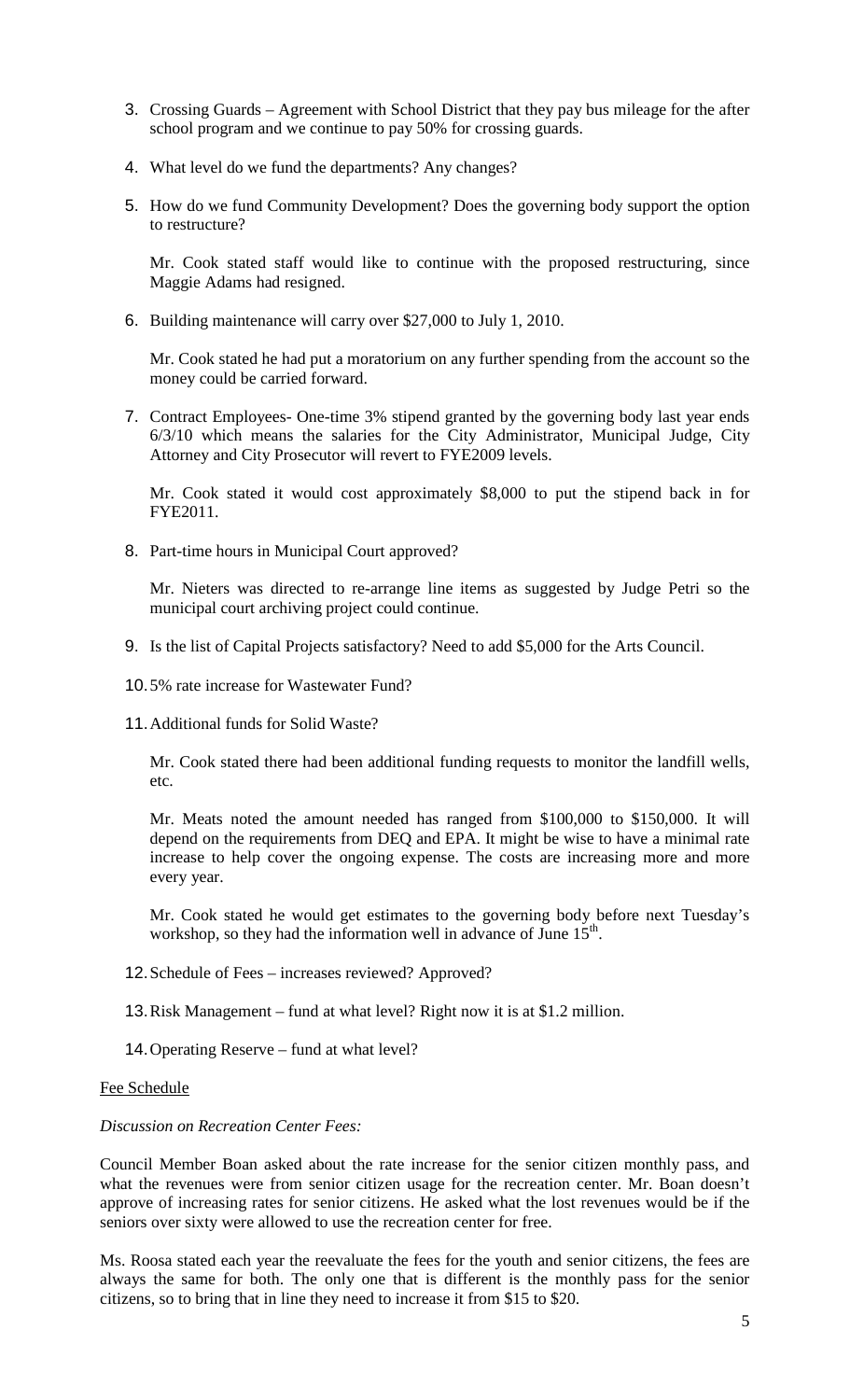- 3. Crossing Guards Agreement with School District that they pay bus mileage for the after school program and we continue to pay 50% for crossing guards.
- 4. What level do we fund the departments? Any changes?
- 5. How do we fund Community Development? Does the governing body support the option to restructure?

Mr. Cook stated staff would like to continue with the proposed restructuring, since Maggie Adams had resigned.

6. Building maintenance will carry over \$27,000 to July 1, 2010.

Mr. Cook stated he had put a moratorium on any further spending from the account so the money could be carried forward.

7. Contract Employees- One-time 3% stipend granted by the governing body last year ends 6/3/10 which means the salaries for the City Administrator, Municipal Judge, City Attorney and City Prosecutor will revert to FYE2009 levels.

Mr. Cook stated it would cost approximately \$8,000 to put the stipend back in for FYE2011.

8. Part-time hours in Municipal Court approved?

Mr. Nieters was directed to re-arrange line items as suggested by Judge Petri so the municipal court archiving project could continue.

- 9. Is the list of Capital Projects satisfactory? Need to add \$5,000 for the Arts Council.
- 10.5% rate increase for Wastewater Fund?
- 11.Additional funds for Solid Waste?

Mr. Cook stated there had been additional funding requests to monitor the landfill wells, etc.

Mr. Meats noted the amount needed has ranged from \$100,000 to \$150,000. It will depend on the requirements from DEQ and EPA. It might be wise to have a minimal rate increase to help cover the ongoing expense. The costs are increasing more and more every year.

Mr. Cook stated he would get estimates to the governing body before next Tuesday's workshop, so they had the information well in advance of June  $15<sup>th</sup>$ .

- 12.Schedule of Fees increases reviewed? Approved?
- 13.Risk Management fund at what level? Right now it is at \$1.2 million.
- 14.Operating Reserve fund at what level?

#### Fee Schedule

### *Discussion on Recreation Center Fees:*

Council Member Boan asked about the rate increase for the senior citizen monthly pass, and what the revenues were from senior citizen usage for the recreation center. Mr. Boan doesn't approve of increasing rates for senior citizens. He asked what the lost revenues would be if the seniors over sixty were allowed to use the recreation center for free.

Ms. Roosa stated each year the reevaluate the fees for the youth and senior citizens, the fees are always the same for both. The only one that is different is the monthly pass for the senior citizens, so to bring that in line they need to increase it from \$15 to \$20.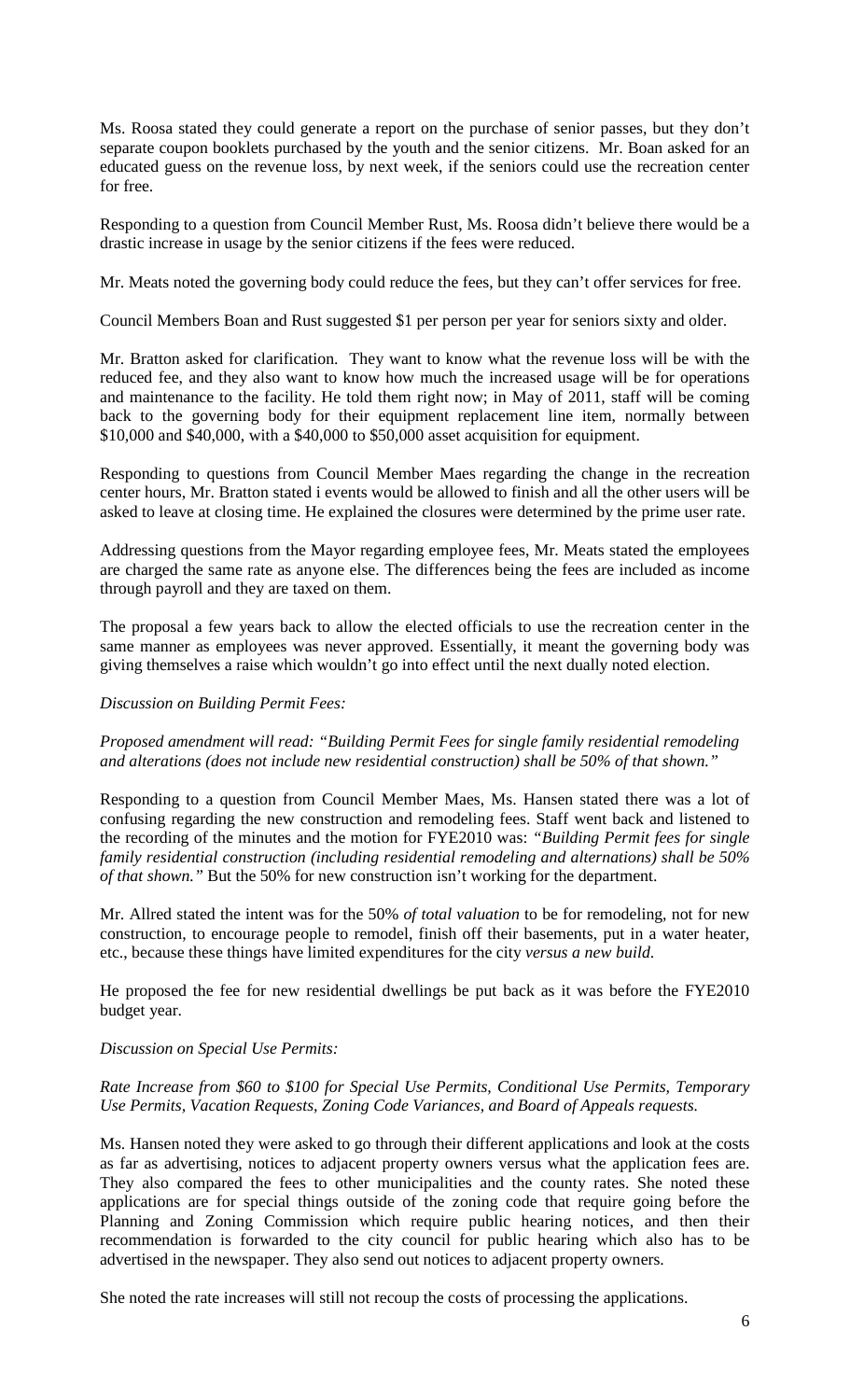Ms. Roosa stated they could generate a report on the purchase of senior passes, but they don't separate coupon booklets purchased by the youth and the senior citizens. Mr. Boan asked for an educated guess on the revenue loss, by next week, if the seniors could use the recreation center for free.

Responding to a question from Council Member Rust, Ms. Roosa didn't believe there would be a drastic increase in usage by the senior citizens if the fees were reduced.

Mr. Meats noted the governing body could reduce the fees, but they can't offer services for free.

Council Members Boan and Rust suggested \$1 per person per year for seniors sixty and older.

Mr. Bratton asked for clarification. They want to know what the revenue loss will be with the reduced fee, and they also want to know how much the increased usage will be for operations and maintenance to the facility. He told them right now; in May of 2011, staff will be coming back to the governing body for their equipment replacement line item, normally between \$10,000 and \$40,000, with a \$40,000 to \$50,000 asset acquisition for equipment.

Responding to questions from Council Member Maes regarding the change in the recreation center hours, Mr. Bratton stated i events would be allowed to finish and all the other users will be asked to leave at closing time. He explained the closures were determined by the prime user rate.

Addressing questions from the Mayor regarding employee fees, Mr. Meats stated the employees are charged the same rate as anyone else. The differences being the fees are included as income through payroll and they are taxed on them.

The proposal a few years back to allow the elected officials to use the recreation center in the same manner as employees was never approved. Essentially, it meant the governing body was giving themselves a raise which wouldn't go into effect until the next dually noted election.

#### *Discussion on Building Permit Fees:*

#### *Proposed amendment will read: "Building Permit Fees for single family residential remodeling and alterations (does not include new residential construction) shall be 50% of that shown."*

Responding to a question from Council Member Maes, Ms. Hansen stated there was a lot of confusing regarding the new construction and remodeling fees. Staff went back and listened to the recording of the minutes and the motion for FYE2010 was: *"Building Permit fees for single family residential construction (including residential remodeling and alternations) shall be 50% of that shown."* But the 50% for new construction isn't working for the department.

Mr. Allred stated the intent was for the 50% *of total valuation* to be for remodeling, not for new construction, to encourage people to remodel, finish off their basements, put in a water heater, etc., because these things have limited expenditures for the city *versus a new build*.

He proposed the fee for new residential dwellings be put back as it was before the FYE2010 budget year.

#### *Discussion on Special Use Permits:*

#### *Rate Increase from \$60 to \$100 for Special Use Permits, Conditional Use Permits, Temporary Use Permits, Vacation Requests, Zoning Code Variances, and Board of Appeals requests.*

Ms. Hansen noted they were asked to go through their different applications and look at the costs as far as advertising, notices to adjacent property owners versus what the application fees are. They also compared the fees to other municipalities and the county rates. She noted these applications are for special things outside of the zoning code that require going before the Planning and Zoning Commission which require public hearing notices, and then their recommendation is forwarded to the city council for public hearing which also has to be advertised in the newspaper. They also send out notices to adjacent property owners.

She noted the rate increases will still not recoup the costs of processing the applications.